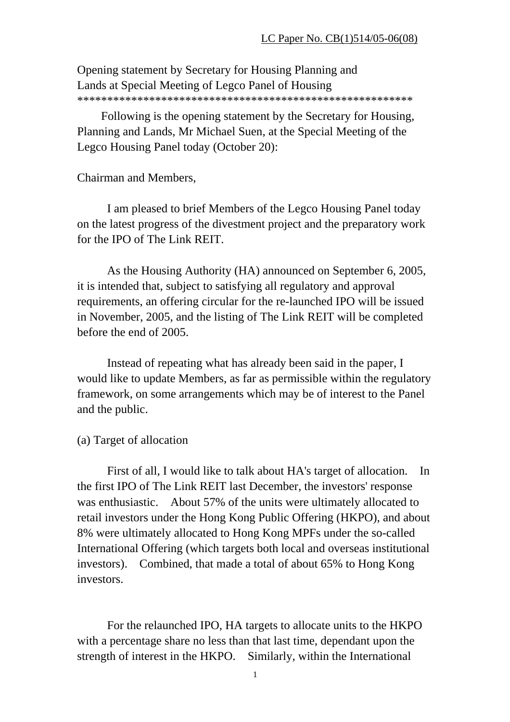Opening statement by Secretary for Housing Planning and Lands at Special Meeting of Legco Panel of Housing \*\*\*\*\*\*\*\*\*\*\*\*\*\*\*\*\*\*\*\*\*\*\*\*\*\*\*\*\*\*\*\*\*\*\*\*\*\*\*\*\*\*\*\*\*\*\*\*\*\*\*\*\*\*\*\*

 Following is the opening statement by the Secretary for Housing, Planning and Lands, Mr Michael Suen, at the Special Meeting of the Legco Housing Panel today (October 20):

#### Chairman and Members,

 I am pleased to brief Members of the Legco Housing Panel today on the latest progress of the divestment project and the preparatory work for the IPO of The Link REIT.

 As the Housing Authority (HA) announced on September 6, 2005, it is intended that, subject to satisfying all regulatory and approval requirements, an offering circular for the re-launched IPO will be issued in November, 2005, and the listing of The Link REIT will be completed before the end of 2005.

 Instead of repeating what has already been said in the paper, I would like to update Members, as far as permissible within the regulatory framework, on some arrangements which may be of interest to the Panel and the public.

#### (a) Target of allocation

 First of all, I would like to talk about HA's target of allocation. In the first IPO of The Link REIT last December, the investors' response was enthusiastic. About 57% of the units were ultimately allocated to retail investors under the Hong Kong Public Offering (HKPO), and about 8% were ultimately allocated to Hong Kong MPFs under the so-called International Offering (which targets both local and overseas institutional investors). Combined, that made a total of about 65% to Hong Kong investors.

 For the relaunched IPO, HA targets to allocate units to the HKPO with a percentage share no less than that last time, dependant upon the strength of interest in the HKPO. Similarly, within the International

1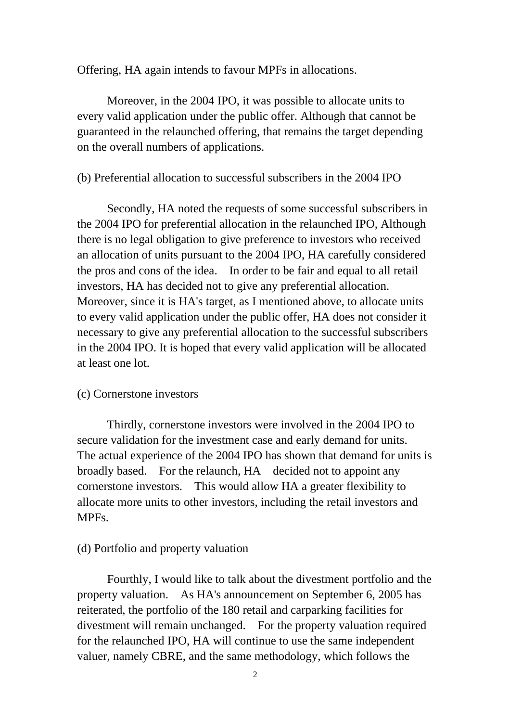Offering, HA again intends to favour MPFs in allocations.

 Moreover, in the 2004 IPO, it was possible to allocate units to every valid application under the public offer. Although that cannot be guaranteed in the relaunched offering, that remains the target depending on the overall numbers of applications.

### (b) Preferential allocation to successful subscribers in the 2004 IPO

 Secondly, HA noted the requests of some successful subscribers in the 2004 IPO for preferential allocation in the relaunched IPO, Although there is no legal obligation to give preference to investors who received an allocation of units pursuant to the 2004 IPO, HA carefully considered the pros and cons of the idea. In order to be fair and equal to all retail investors, HA has decided not to give any preferential allocation. Moreover, since it is HA's target, as I mentioned above, to allocate units to every valid application under the public offer, HA does not consider it necessary to give any preferential allocation to the successful subscribers in the 2004 IPO. It is hoped that every valid application will be allocated at least one lot.

#### (c) Cornerstone investors

 Thirdly, cornerstone investors were involved in the 2004 IPO to secure validation for the investment case and early demand for units. The actual experience of the 2004 IPO has shown that demand for units is broadly based. For the relaunch, HA decided not to appoint any cornerstone investors. This would allow HA a greater flexibility to allocate more units to other investors, including the retail investors and MPFs.

#### (d) Portfolio and property valuation

 Fourthly, I would like to talk about the divestment portfolio and the property valuation. As HA's announcement on September 6, 2005 has reiterated, the portfolio of the 180 retail and carparking facilities for divestment will remain unchanged. For the property valuation required for the relaunched IPO, HA will continue to use the same independent valuer, namely CBRE, and the same methodology, which follows the